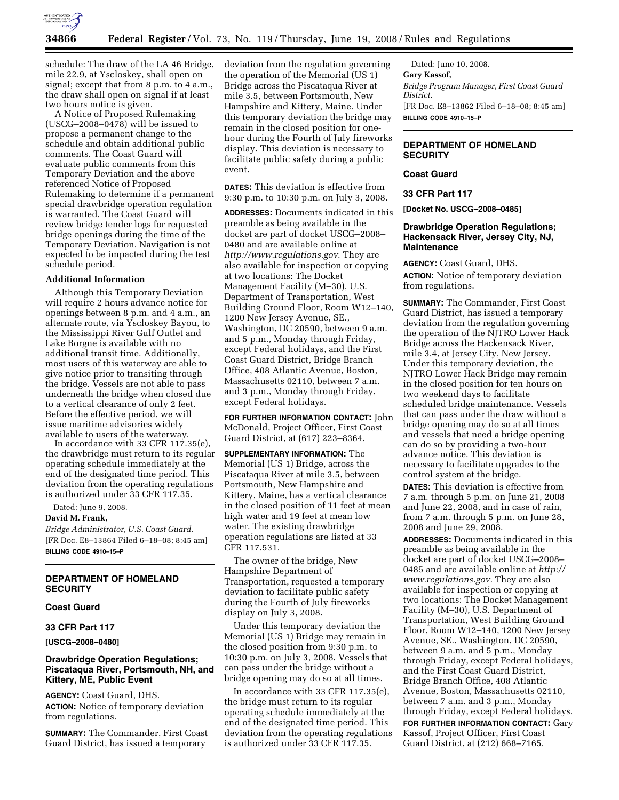

schedule: The draw of the LA 46 Bridge, mile 22.9, at Yscloskey, shall open on signal; except that from 8 p.m. to 4 a.m., the draw shall open on signal if at least two hours notice is given.

A Notice of Proposed Rulemaking (USCG–2008–0478) will be issued to propose a permanent change to the schedule and obtain additional public comments. The Coast Guard will evaluate public comments from this Temporary Deviation and the above referenced Notice of Proposed Rulemaking to determine if a permanent special drawbridge operation regulation is warranted. The Coast Guard will review bridge tender logs for requested bridge openings during the time of the Temporary Deviation. Navigation is not expected to be impacted during the test schedule period.

#### **Additional Information**

Although this Temporary Deviation will require 2 hours advance notice for openings between 8 p.m. and 4 a.m., an alternate route, via Yscloskey Bayou, to the Mississippi River Gulf Outlet and Lake Borgne is available with no additional transit time. Additionally, most users of this waterway are able to give notice prior to transiting through the bridge. Vessels are not able to pass underneath the bridge when closed due to a vertical clearance of only 2 feet. Before the effective period, we will issue maritime advisories widely available to users of the waterway.

In accordance with 33 CFR 117.35(e), the drawbridge must return to its regular operating schedule immediately at the end of the designated time period. This deviation from the operating regulations is authorized under 33 CFR 117.35.

Dated: June 9, 2008.

### **David M. Frank,**

*Bridge Administrator, U.S. Coast Guard.*  [FR Doc. E8–13864 Filed 6–18–08; 8:45 am] **BILLING CODE 4910–15–P** 

# **DEPARTMENT OF HOMELAND SECURITY**

#### **Coast Guard**

### **33 CFR Part 117**

#### **[USCG–2008–0480]**

# **Drawbridge Operation Regulations; Piscataqua River, Portsmouth, NH, and Kittery, ME, Public Event**

**AGENCY:** Coast Guard, DHS. **ACTION:** Notice of temporary deviation from regulations.

**SUMMARY:** The Commander, First Coast Guard District, has issued a temporary

deviation from the regulation governing the operation of the Memorial (US 1) Bridge across the Piscataqua River at mile 3.5, between Portsmouth, New Hampshire and Kittery, Maine. Under this temporary deviation the bridge may remain in the closed position for onehour during the Fourth of July fireworks display. This deviation is necessary to facilitate public safety during a public event.

**DATES:** This deviation is effective from 9:30 p.m. to 10:30 p.m. on July 3, 2008.

**ADDRESSES:** Documents indicated in this preamble as being available in the docket are part of docket USCG–2008– 0480 and are available online at *http://www.regulations.gov*. They are also available for inspection or copying at two locations: The Docket Management Facility (M–30), U.S. Department of Transportation, West Building Ground Floor, Room W12–140, 1200 New Jersey Avenue, SE., Washington, DC 20590, between 9 a.m. and 5 p.m., Monday through Friday, except Federal holidays, and the First Coast Guard District, Bridge Branch Office, 408 Atlantic Avenue, Boston, Massachusetts 02110, between 7 a.m. and 3 p.m., Monday through Friday, except Federal holidays.

**FOR FURTHER INFORMATION CONTACT:** John McDonald, Project Officer, First Coast Guard District, at (617) 223–8364.

**SUPPLEMENTARY INFORMATION:** The Memorial (US 1) Bridge, across the Piscataqua River at mile 3.5, between Portsmouth, New Hampshire and Kittery, Maine, has a vertical clearance in the closed position of 11 feet at mean high water and 19 feet at mean low water. The existing drawbridge operation regulations are listed at 33 CFR 117.531.

The owner of the bridge, New Hampshire Department of Transportation, requested a temporary deviation to facilitate public safety during the Fourth of July fireworks display on July 3, 2008.

Under this temporary deviation the Memorial (US 1) Bridge may remain in the closed position from 9:30 p.m. to 10:30 p.m. on July 3, 2008. Vessels that can pass under the bridge without a bridge opening may do so at all times.

In accordance with 33 CFR 117.35(e), the bridge must return to its regular operating schedule immediately at the end of the designated time period. This deviation from the operating regulations is authorized under 33 CFR 117.35.

Dated: June 10, 2008. **Gary Kassof,**  *Bridge Program Manager, First Coast Guard District.*  [FR Doc. E8–13862 Filed 6–18–08; 8:45 am] **BILLING CODE 4910–15–P** 

# **DEPARTMENT OF HOMELAND SECURITY**

# **Coast Guard**

#### **33 CFR Part 117**

**[Docket No. USCG–2008–0485]** 

### **Drawbridge Operation Regulations; Hackensack River, Jersey City, NJ, Maintenance**

**AGENCY:** Coast Guard, DHS.

**ACTION:** Notice of temporary deviation from regulations.

**SUMMARY:** The Commander, First Coast Guard District, has issued a temporary deviation from the regulation governing the operation of the NJTRO Lower Hack Bridge across the Hackensack River, mile 3.4, at Jersey City, New Jersey. Under this temporary deviation, the NJTRO Lower Hack Bridge may remain in the closed position for ten hours on two weekend days to facilitate scheduled bridge maintenance. Vessels that can pass under the draw without a bridge opening may do so at all times and vessels that need a bridge opening can do so by providing a two-hour advance notice. This deviation is necessary to facilitate upgrades to the control system at the bridge.

**DATES:** This deviation is effective from 7 a.m. through 5 p.m. on June 21, 2008 and June 22, 2008, and in case of rain, from 7 a.m. through 5 p.m. on June 28, 2008 and June 29, 2008.

**ADDRESSES:** Documents indicated in this preamble as being available in the docket are part of docket USCG–2008– 0485 and are available online at *http:// www.regulations.gov.* They are also available for inspection or copying at two locations: The Docket Management Facility (M–30), U.S. Department of Transportation, West Building Ground Floor, Room W12–140, 1200 New Jersey Avenue, SE., Washington, DC 20590, between 9 a.m. and 5 p.m., Monday through Friday, except Federal holidays, and the First Coast Guard District, Bridge Branch Office, 408 Atlantic Avenue, Boston, Massachusetts 02110, between 7 a.m. and 3 p.m., Monday through Friday, except Federal holidays.

**FOR FURTHER INFORMATION CONTACT:** Gary Kassof, Project Officer, First Coast Guard District, at (212) 668–7165.